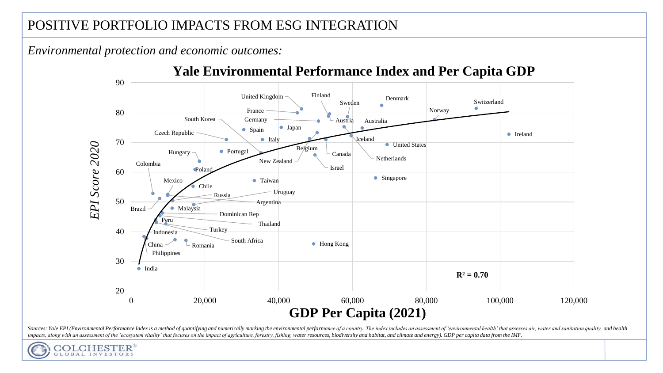## POSITIVE PORTFOLIO IMPACTS FROM ESG INTEGRATION

*Environmental protection and economic outcomes:*



Sources: Yale EPI (Environmental Performance Index is a method of quantifying and numerically marking the environmental performance of a country. The index includes an assessment of 'environmental health' that assesses air impacts, along with an assessment of the 'ecosystem vitality' that focuses on the impact of agriculture, forestry, fishing, water resources, biodiversity and habitat, and climate and energy). GDP per capita data from the I

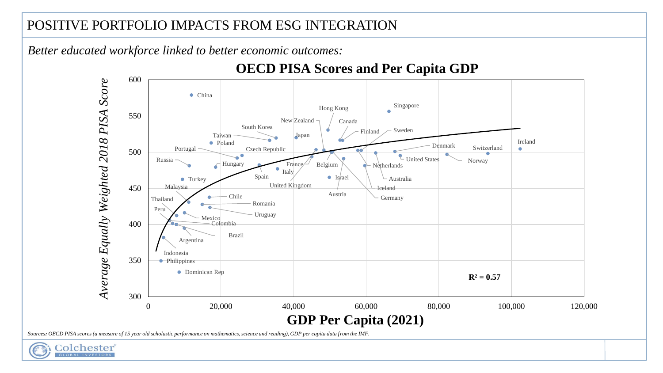## POSITIVE PORTFOLIO IMPACTS FROM ESG INTEGRATION

*Better educated workforce linked to better economic outcomes:*



## **OECD PISA Scores and Per Capita GDP**

*Sources: OECD PISA scores (a measure of 15 year old scholastic performance on mathematics, science and reading), GDP per capita data from the IMF.*